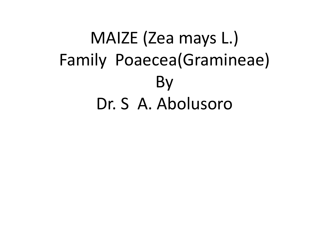### MAIZE (Zea mays L.) Family Poaecea(Gramineae) **By** Dr. S A. Abolusoro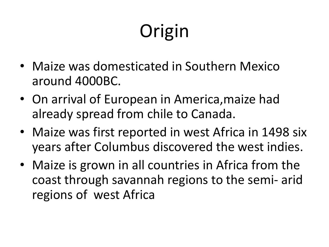# **Origin**

- Maize was domesticated in Southern Mexico around 4000BC.
- On arrival of European in America,maize had already spread from chile to Canada.
- Maize was first reported in west Africa in 1498 six years after Columbus discovered the west indies.
- Maize is grown in all countries in Africa from the coast through savannah regions to the semi- arid regions of west Africa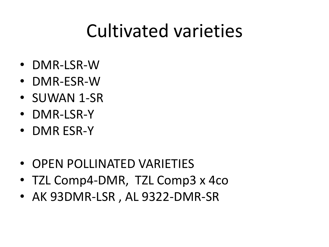### Cultivated varieties

- DMR-LSR-W
- DMR-ESR-W
- SUWAN 1-SR
- DMR-LSR-Y
- DMR ESR-Y
- OPEN POLLINATED VARIETIES
- TZL Comp4-DMR, TZL Comp3 x 4co
- AK 93DMR-LSR , AL 9322-DMR-SR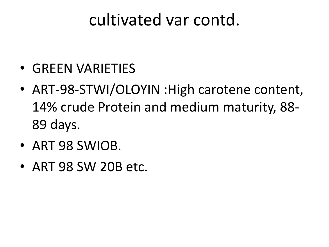#### cultivated var contd.

- GREEN VARIETIES
- ART-98-STWI/OLOYIN :High carotene content, 14% crude Protein and medium maturity, 88- 89 days.
- ART 98 SWIOB.
- ART 98 SW 20B etc.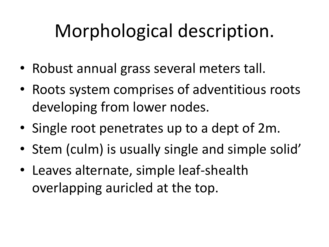# Morphological description.

- Robust annual grass several meters tall.
- Roots system comprises of adventitious roots developing from lower nodes.
- Single root penetrates up to a dept of 2m.
- Stem (culm) is usually single and simple solid'
- Leaves alternate, simple leaf-shealth overlapping auricled at the top.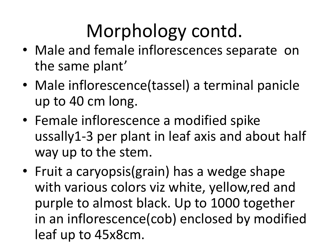# Morphology contd.

- Male and female inflorescences separate on the same plant'
- Male inflorescence(tassel) a terminal panicle up to 40 cm long.
- Female inflorescence a modified spike ussally1-3 per plant in leaf axis and about half way up to the stem.
- Fruit a caryopsis(grain) has a wedge shape with various colors viz white, yellow,red and purple to almost black. Up to 1000 together in an inflorescence(cob) enclosed by modified leaf up to 45x8cm.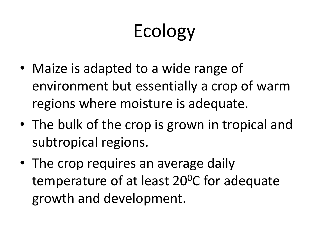# Ecology

- Maize is adapted to a wide range of environment but essentially a crop of warm regions where moisture is adequate.
- The bulk of the crop is grown in tropical and subtropical regions.
- The crop requires an average daily temperature of at least 20<sup>o</sup>C for adequate growth and development.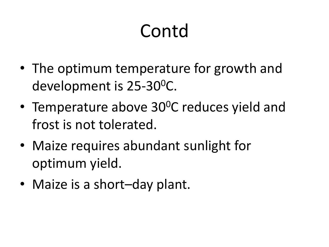# Contd

- The optimum temperature for growth and development is 25-30<sup>o</sup>C.
- Temperature above 30<sup>o</sup>C reduces yield and frost is not tolerated.
- Maize requires abundant sunlight for optimum yield.
- Maize is a short–day plant.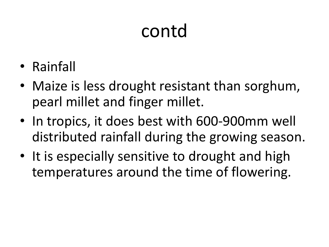- Rainfall
- Maize is less drought resistant than sorghum, pearl millet and finger millet.
- In tropics, it does best with 600-900mm well distributed rainfall during the growing season.
- It is especially sensitive to drought and high temperatures around the time of flowering.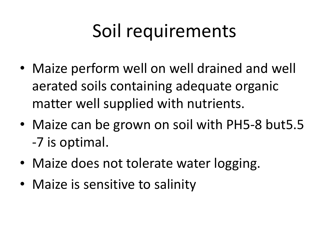# Soil requirements

- Maize perform well on well drained and well aerated soils containing adequate organic matter well supplied with nutrients.
- Maize can be grown on soil with PH5-8 but5.5 -7 is optimal.
- Maize does not tolerate water logging.
- Maize is sensitive to salinity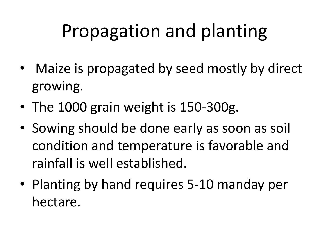# Propagation and planting

- Maize is propagated by seed mostly by direct growing.
- The 1000 grain weight is 150-300g.
- Sowing should be done early as soon as soil condition and temperature is favorable and rainfall is well established.
- Planting by hand requires 5-10 manday per hectare.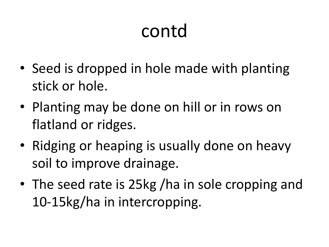- Seed is dropped in hole made with planting stick or hole.
- Planting may be done on hill or in rows on flatland or ridges.
- Ridging or heaping is usually done on heavy soil to improve drainage.
- The seed rate is 25kg /ha in sole cropping and 10-15kg/ha in intercropping.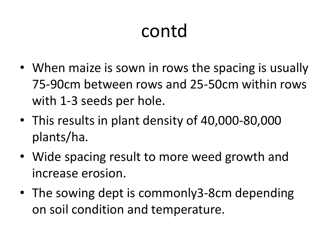- When maize is sown in rows the spacing is usually 75-90cm between rows and 25-50cm within rows with 1-3 seeds per hole.
- This results in plant density of 40,000-80,000 plants/ha.
- Wide spacing result to more weed growth and increase erosion.
- The sowing dept is commonly3-8cm depending on soil condition and temperature.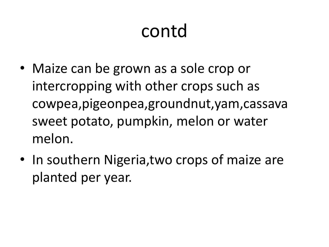- Maize can be grown as a sole crop or intercropping with other crops such as cowpea,pigeonpea,groundnut,yam,cassava sweet potato, pumpkin, melon or water melon.
- In southern Nigeria, two crops of maize are planted per year.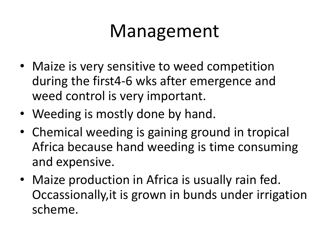#### Management

- Maize is very sensitive to weed competition during the first4-6 wks after emergence and weed control is very important.
- Weeding is mostly done by hand.
- Chemical weeding is gaining ground in tropical Africa because hand weeding is time consuming and expensive.
- Maize production in Africa is usually rain fed. Occassionally,it is grown in bunds under irrigation scheme.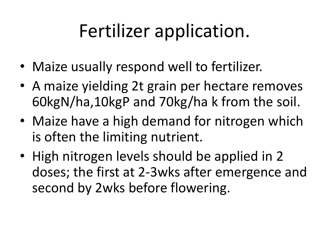# Fertilizer application.

- Maize usually respond well to fertilizer.
- A maize yielding 2t grain per hectare removes 60kgN/ha,10kgP and 70kg/ha k from the soil.
- Maize have a high demand for nitrogen which is often the limiting nutrient.
- High nitrogen levels should be applied in 2 doses; the first at 2-3wks after emergence and second by 2wks before flowering.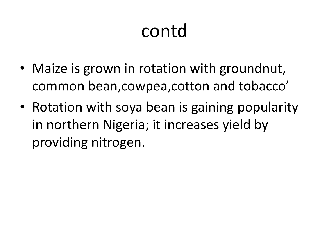- Maize is grown in rotation with groundnut, common bean,cowpea,cotton and tobacco'
- Rotation with soya bean is gaining popularity in northern Nigeria; it increases yield by providing nitrogen.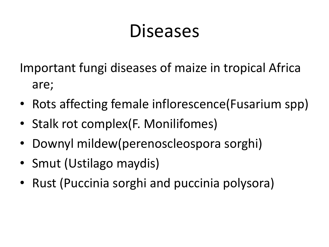#### Diseases

Important fungi diseases of maize in tropical Africa are;

- Rots affecting female inflorescence(Fusarium spp)
- Stalk rot complex(F. Monilifomes)
- Downyl mildew(perenoscleospora sorghi)
- Smut (Ustilago maydis)
- Rust (Puccinia sorghi and puccinia polysora)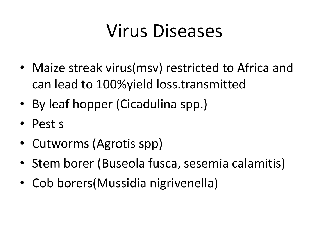### Virus Diseases

- Maize streak virus(msv) restricted to Africa and can lead to 100%yield loss.transmitted
- By leaf hopper (Cicadulina spp.)
- Pest s
- Cutworms (Agrotis spp)
- Stem borer (Buseola fusca, sesemia calamitis)
- Cob borers(Mussidia nigrivenella)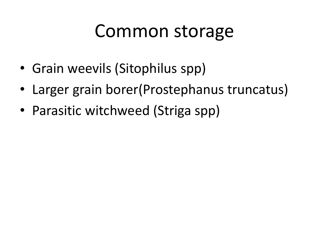#### Common storage

- Grain weevils (Sitophilus spp)
- Larger grain borer(Prostephanus truncatus)
- Parasitic witchweed (Striga spp)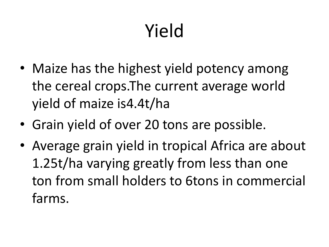# Yield

- Maize has the highest yield potency among the cereal crops.The current average world yield of maize is4.4t/ha
- Grain yield of over 20 tons are possible.
- Average grain yield in tropical Africa are about 1.25t/ha varying greatly from less than one ton from small holders to 6tons in commercial farms.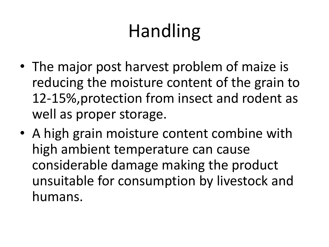# Handling

- The major post harvest problem of maize is reducing the moisture content of the grain to 12-15%,protection from insect and rodent as well as proper storage.
- A high grain moisture content combine with high ambient temperature can cause considerable damage making the product unsuitable for consumption by livestock and humans.